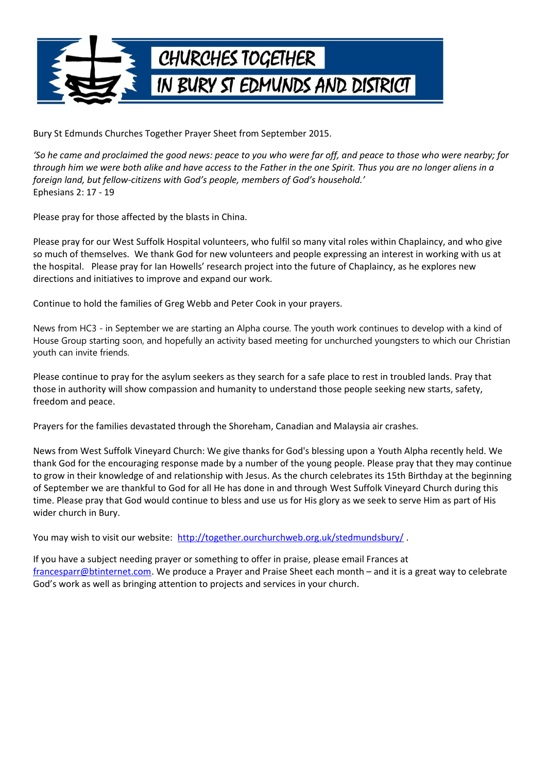

Bury St Edmunds Churches Together Prayer Sheet from September 2015.

*'So he came and proclaimed the good news: peace to you who were far off, and peace to those who were nearby; for through him we were both alike and have access to the Father in the one Spirit. Thus you are no longer aliens in a foreign land, but fellow-citizens with God's people, members of God's household.'* Ephesians 2: 17 - 19

Please pray for those affected by the blasts in China.

Please pray for our West Suffolk Hospital volunteers, who fulfil so many vital roles within Chaplaincy, and who give so much of themselves. We thank God for new volunteers and people expressing an interest in working with us at the hospital. Please pray for Ian Howells' research project into the future of Chaplaincy, as he explores new directions and initiatives to improve and expand our work.

Continue to hold the families of Greg Webb and Peter Cook in your prayers.

News from HC3 - in September we are starting an Alpha course. The youth work continues to develop with a kind of House Group starting soon, and hopefully an activity based meeting for unchurched youngsters to which our Christian youth can invite friends.

Please continue to pray for the asylum seekers as they search for a safe place to rest in troubled lands. Pray that those in authority will show compassion and humanity to understand those people seeking new starts, safety, freedom and peace.

Prayers for the families devastated through the Shoreham, Canadian and Malaysia air crashes.

News from West Suffolk Vineyard Church: We give thanks for God's blessing upon a Youth Alpha recently held. We thank God for the encouraging response made by a number of the young people. Please pray that they may continue to grow in their knowledge of and relationship with Jesus. As the church celebrates its 15th Birthday at the beginning of September we are thankful to God for all He has done in and through West Suffolk Vineyard Church during this time. Please pray that God would continue to bless and use us for His glory as we seek to serve Him as part of His wider church in Bury.

You may wish to visit our website: http://together.ourchurchweb.org.uk/stedmundsbury/

If you have a subject needing prayer or something to offer in praise, please email Frances at [francesparr@btinternet.com.](mailto:francesparr@btinternet.com) We produce a Prayer and Praise Sheet each month – and it is a great way to celebrate God's work as well as bringing attention to projects and services in your church.